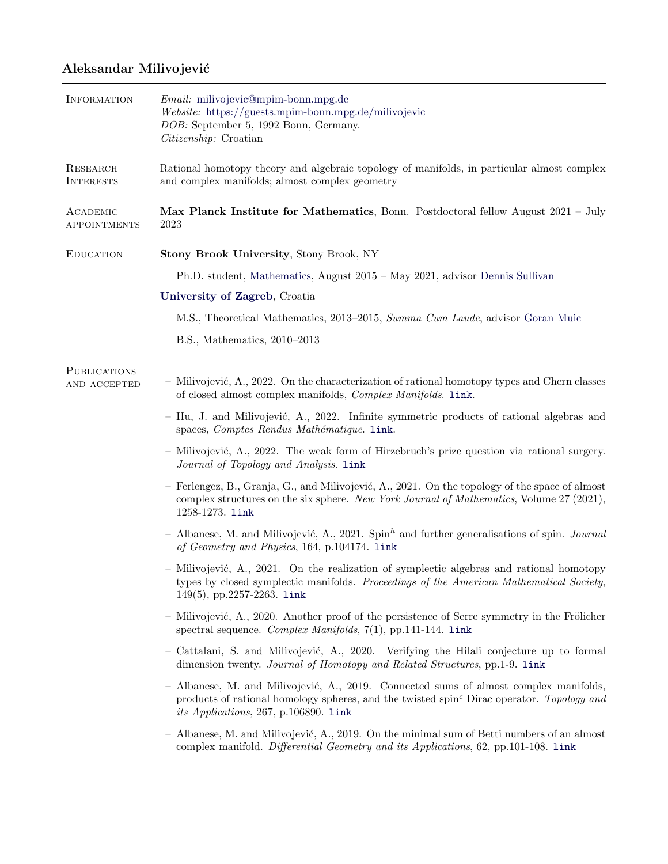## Aleksandar Milivojević

| INFORMATION                         | <i>Email:</i> milivojevic@mpim-bonn.mpg.de<br>$We bsite:$ https://guests.mpim-bonn.mpg.de/milivojevic<br>DOB: September 5, 1992 Bonn, Germany.<br>Citizenship: Croatian                                                                 |
|-------------------------------------|-----------------------------------------------------------------------------------------------------------------------------------------------------------------------------------------------------------------------------------------|
| <b>RESEARCH</b><br><b>INTERESTS</b> | Rational homotopy theory and algebraic topology of manifolds, in particular almost complex<br>and complex manifolds; almost complex geometry                                                                                            |
| ACADEMIC<br><b>APPOINTMENTS</b>     | Max Planck Institute for Mathematics, Bonn. Postdoctoral fellow August $2021 - July$<br>2023                                                                                                                                            |
| <b>EDUCATION</b>                    | Stony Brook University, Stony Brook, NY                                                                                                                                                                                                 |
|                                     | Ph.D. student, Mathematics, August 2015 – May 2021, advisor Dennis Sullivan                                                                                                                                                             |
|                                     | University of Zagreb, Croatia                                                                                                                                                                                                           |
|                                     | M.S., Theoretical Mathematics, 2013–2015, Summa Cum Laude, advisor Goran Muic                                                                                                                                                           |
|                                     | $B.S., Mathematics, 2010-2013$                                                                                                                                                                                                          |
| <b>PUBLICATIONS</b><br>AND ACCEPTED | - Milivojević, A., 2022. On the characterization of rational homotopy types and Chern classes<br>of closed almost complex manifolds, Complex Manifolds. Link.                                                                           |
|                                     | - Hu, J. and Milivojević, A., 2022. Infinite symmetric products of rational algebras and<br>spaces, Comptes Rendus Mathématique. 1ink.                                                                                                  |
|                                     | - Milivojević, A., 2022. The weak form of Hirzebruch's prize question via rational surgery.<br>Journal of Topology and Analysis. link                                                                                                   |
|                                     | - Ferlengez, B., Granja, G., and Milivojević, A., 2021. On the topology of the space of almost<br>complex structures on the six sphere. New York Journal of Mathematics, Volume 27 (2021),<br>1258-1273. link                           |
|                                     | - Albanese, M. and Milivojević, A., 2021. $Spinh$ and further generalisations of spin. <i>Journal</i><br>of Geometry and Physics, 164, p.104174. link                                                                                   |
|                                     | $-$ Milivojević, A., 2021. On the realization of symplectic algebras and rational homotopy<br>types by closed symplectic manifolds. Proceedings of the American Mathematical Society,<br>$149(5)$ , pp.2257-2263. link                  |
|                                     | - Milivojević, A., 2020. Another proof of the persistence of Serre symmetry in the Frölicher<br>spectral sequence. Complex Manifolds, 7(1), pp.141-144. link                                                                            |
|                                     | - Cattalani, S. and Milivojević, A., 2020. Verifying the Hilali conjecture up to formal<br>dimension twenty. Journal of Homotopy and Related Structures, pp. 1-9. link                                                                  |
|                                     | - Albanese, M. and Milivojević, A., 2019. Connected sums of almost complex manifolds,<br>products of rational homology spheres, and the twisted spin <sup>c</sup> Dirac operator. Topology and<br>its Applications, 267, p.106890. link |
|                                     | - Albanese, M. and Milivojević, A., 2019. On the minimal sum of Betti numbers of an almost<br>complex manifold. Differential Geometry and its Applications, 62, pp.101-108. link                                                        |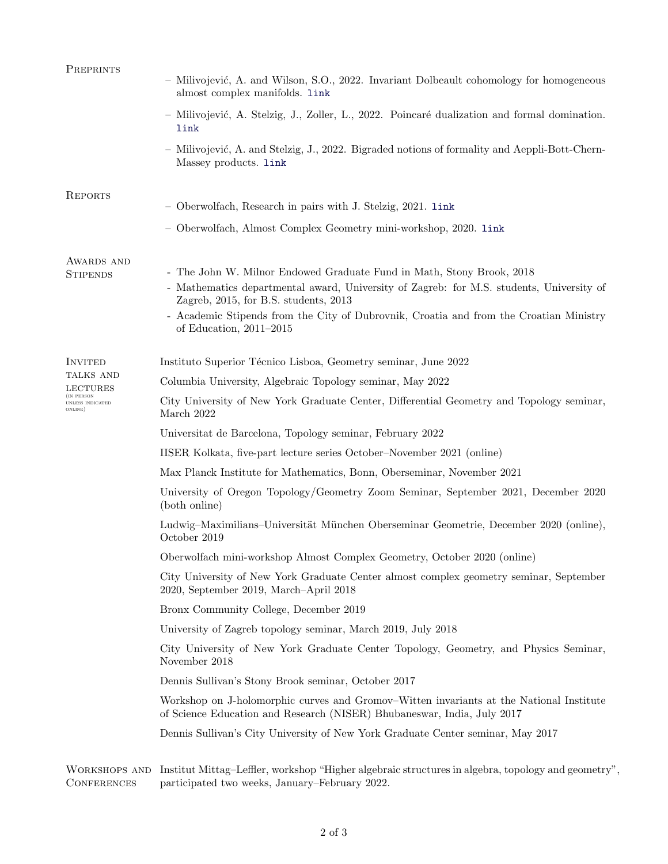| PREPRINTS                                | - Milivojević, A. and Wilson, S.O., 2022. Invariant Dolbeault cohomology for homogeneous<br>almost complex manifolds. link                                                                                                                                                                                                        |
|------------------------------------------|-----------------------------------------------------------------------------------------------------------------------------------------------------------------------------------------------------------------------------------------------------------------------------------------------------------------------------------|
|                                          | - Milivojević, A. Stelzig, J., Zoller, L., 2022. Poincaré dualization and formal domination.<br>link                                                                                                                                                                                                                              |
|                                          | - Milivojević, A. and Stelzig, J., 2022. Bigraded notions of formality and Aeppli-Bott-Chern-<br>Massey products. link                                                                                                                                                                                                            |
| <b>REPORTS</b>                           | - Oberwolfach, Research in pairs with J. Stelzig, 2021. link                                                                                                                                                                                                                                                                      |
|                                          | - Oberwolfach, Almost Complex Geometry mini-workshop, 2020. link                                                                                                                                                                                                                                                                  |
| AWARDS AND<br><b>STIPENDS</b>            | - The John W. Milnor Endowed Graduate Fund in Math, Stony Brook, 2018<br>- Mathematics departmental award, University of Zagreb: for M.S. students, University of<br>Zagreb, 2015, for B.S. students, 2013<br>- Academic Stipends from the City of Dubrovnik, Croatia and from the Croatian Ministry<br>of Education, $2011-2015$ |
| INVITED<br>TALKS AND<br>LECTURES         | Instituto Superior Técnico Lisboa, Geometry seminar, June 2022                                                                                                                                                                                                                                                                    |
|                                          | Columbia University, Algebraic Topology seminar, May 2022                                                                                                                                                                                                                                                                         |
| IN PERSON<br>UNLESS INDICATED<br>ONLINE) | City University of New York Graduate Center, Differential Geometry and Topology seminar,<br>March 2022                                                                                                                                                                                                                            |
|                                          | Universitat de Barcelona, Topology seminar, February 2022                                                                                                                                                                                                                                                                         |
|                                          | IISER Kolkata, five-part lecture series October-November 2021 (online)                                                                                                                                                                                                                                                            |
|                                          | Max Planck Institute for Mathematics, Bonn, Oberseminar, November 2021                                                                                                                                                                                                                                                            |
|                                          | University of Oregon Topology/Geometry Zoom Seminar, September 2021, December 2020<br>(both online)                                                                                                                                                                                                                               |
|                                          | Ludwig-Maximilians-Universität München Oberseminar Geometrie, December 2020 (online),<br>October 2019                                                                                                                                                                                                                             |
|                                          | Oberwolfach mini-workshop Almost Complex Geometry, October 2020 (online)                                                                                                                                                                                                                                                          |
|                                          | City University of New York Graduate Center almost complex geometry seminar, September<br>2020, September 2019, March-April 2018                                                                                                                                                                                                  |
|                                          | Bronx Community College, December 2019                                                                                                                                                                                                                                                                                            |
|                                          | University of Zagreb topology seminar, March 2019, July 2018                                                                                                                                                                                                                                                                      |
|                                          | City University of New York Graduate Center Topology, Geometry, and Physics Seminar,<br>November 2018                                                                                                                                                                                                                             |
|                                          | Dennis Sullivan's Stony Brook seminar, October 2017                                                                                                                                                                                                                                                                               |
|                                          | Workshop on J-holomorphic curves and Gromov-Witten invariants at the National Institute<br>of Science Education and Research (NISER) Bhubaneswar, India, July 2017                                                                                                                                                                |
|                                          | Dennis Sullivan's City University of New York Graduate Center seminar, May 2017                                                                                                                                                                                                                                                   |
|                                          | WORKSHOPS AND Institut Mittag-Leffler, workshop "Higher algebraic structures in algebra, topology and geometry                                                                                                                                                                                                                    |

**CONFERENCES** Institut Mittag–Leffler, workshop "Higher algebraic structures in algebra, topology and geometry", participated two weeks, January–February 2022.